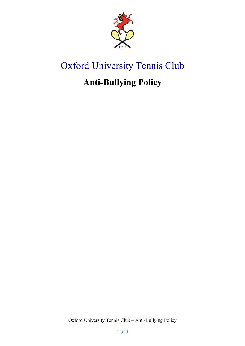

# Oxford University Tennis Club

## **Anti-Bullying Policy**

Oxford University Tennis Club – Anti-Bullying Policy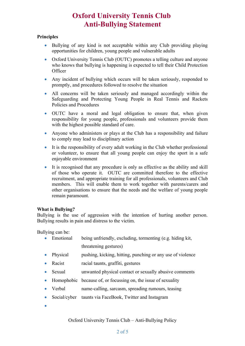### **Oxford University Tennis Club Anti-Bullying Statement**

#### **Principles**

- Bullying of any kind is not acceptable within any Club providing playing opportunities for children, young people and vulnerable adults
- Oxford University Tennis Club (OUTC) promotes a telling culture and anyone who knows that bullying is happening is expected to tell their Child Protection **Officer**
- Any incident of bullying which occurs will be taken seriously, responded to promptly, and procedures followed to resolve the situation
- All concerns will be taken seriously and managed accordingly within the Safeguarding and Protecting Young People in Real Tennis and Rackets Policies and Procedures
- OUTC have a moral and legal obligation to ensure that, when given responsibility for young people, professionals and volunteers provide them with the highest possible standard of care.
- Anyone who administers or plays at the Club has a responsibility and failure to comply may lead to disciplinary action
- It is the responsibility of every adult working in the Club whether professional or volunteer, to ensure that all young people can enjoy the sport in a safe enjoyable environment
- It is recognised that any procedure is only as effective as the ability and skill of those who operate it. OUTC are committed therefore to the effective recruitment, and appropriate training for all professionals, volunteers and Club members. This will enable them to work together with parents/carers and other organisations to ensure that the needs and the welfare of young people remain paramount.

#### **What is Bullying?**

Bullying is the use of aggression with the intention of hurting another person. Bullying results in pain and distress to the victim.

Bullying can be:

- Emotional being unfriendly, excluding, tormenting (e.g. hiding kit, threatening gestures)
- Physical pushing, kicking, hitting, punching or any use of violence
- Racist racial taunts, graffiti, gestures
- Sexual unwanted physical contact or sexually abusive comments
- Homophobic because of, or focussing on, the issue of sexuality
- Verbal name-calling, sarcasm, spreading rumours, teasing
- Social/cyber taunts via FaceBook, Twitter and Instagram
- $\bullet$

Oxford University Tennis Club – Anti-Bullying Policy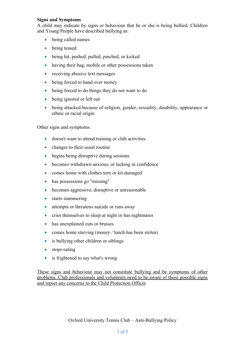#### **Signs and Symptoms**

A child may indicate by signs or behaviour that he or she is being bullied. Children and Young People have described bullying as:

- being called names
- **being teased**
- being hit, pushed, pulled, pinched, or kicked
- having their bag, mobile or other possessions taken
- receiving abusive text messages
- being forced to hand over money
- being forced to do things they do not want to do
- being ignored or left out
- being attacked because of religion, gender, sexuality, disability, appearance or ethnic or racial origin

Other signs and symptoms:

- doesn't want to attend training or club activities
- changes to their usual routine
- begins being disruptive during sessions
- becomes withdrawn anxious, or lacking in confidence
- comes home with clothes torn or kit damaged
- has possessions go "missing"
- becomes aggressive, disruptive or unreasonable
- starts stammering
- attempts or threatens suicide or runs away
- cries themselves to sleep at night or has nightmares
- has unexplained cuts or bruises
- comes home starving (money / lunch has been stolen)
- is bullying other children or siblings
- stops eating
- is frightened to say what's wrong

These signs and behaviour may not constitute bullying and be symptoms of other problems. Club professionals and volunteers need to be aware of these possible signs and report any concerns to the Child Protection Officer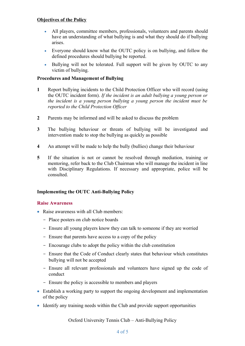#### **Objectives of the Policy**

- All players, committee members, professionals, volunteers and parents should have an understanding of what bullying is and what they should do if bullying arises.
- Everyone should know what the OUTC policy is on bullying, and follow the defined procedures should bullying be reported.
- Bullying will not be tolerated. Full support will be given by OUTC to any victim of bullying.

#### **Procedures and Management of Bullying**

- **1** Report bullying incidents to the Child Protection Officer who will record (using the OUTC incident form). *If the incident is an adult bullying a young person or the incident is a young person bullying a young person the incident must be reported to the Child Protection Officer*
- **2** Parents may be informed and will be asked to discuss the problem
- **3** The bullying behaviour or threats of bullying will be investigated and intervention made to stop the bullying as quickly as possible
- **4** An attempt will be made to help the bully (bullies) change their behaviour
- **5** If the situation is not or cannot be resolved through mediation, training or mentoring, refer back to the Club Chairman who will manage the incident in line with Disciplinary Regulations. If necessary and appropriate, police will be consulted.

#### **Implementing the OUTC Anti-Bullying Policy**

#### **Raise Awareness**

- Raise awareness with all Club members:
	- Place posters on club notice boards
	- Ensure all young players know they can talk to someone if they are worried
	- Ensure that parents have access to a copy of the policy
	- Encourage clubs to adopt the policy within the club constitution
	- Ensure that the Code of Conduct clearly states that behaviour which constitutes bullying will not be accepted
	- Ensure all relevant professionals and volunteers have signed up the code of conduct
	- Ensure the policy is accessible to members and players
- Establish a working party to support the ongoing development and implementation of the policy
- Identify any training needs within the Club and provide support opportunities

Oxford University Tennis Club – Anti-Bullying Policy